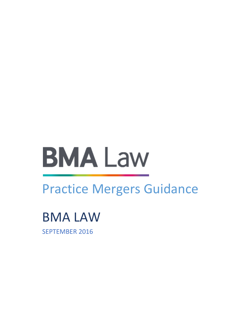# **BMA Law**

# Practice Mergers Guidance

BMA LAW

SEPTEMBER 2016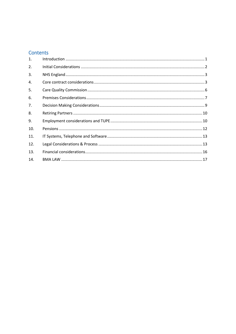# Contents

<span id="page-1-0"></span>

| 1.  |  |
|-----|--|
| 2.  |  |
| 3.  |  |
| 4.  |  |
| 5.  |  |
| 6.  |  |
| 7.  |  |
| 8.  |  |
| 9.  |  |
| 10. |  |
| 11. |  |
| 12. |  |
| 13. |  |
| 14. |  |
|     |  |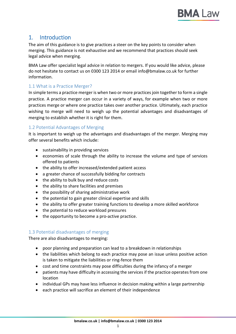

# 1. Introduction

The aim of this guidance is to give practices a steer on the key points to consider when merging. This guidance is not exhaustive and we recommend that practices should seek legal advice when merging.

BMA Law offer specialist legal advice in relation to mergers. If you would like advice, please do not hesitate to contact us on 0300 123 2014 or email info@bmalaw.co.uk for further information.

#### 1.1 What is a Practice Merger?

In simple terms a practice merger is when two or more practices join together to form a single practice. A practice merger can occur in a variety of ways, for example when two or more practices merge or where one practice takes over another practice. Ultimately, each practice wishing to merge will need to weigh up the potential advantages and disadvantages of merging to establish whether it is right for them.

#### 1.2 Potential Advantages of Merging

It is important to weigh up the advantages and disadvantages of the merger. Merging may offer several benefits which include:

- sustainability in providing services
- economies of scale through the ability to increase the volume and type of services offered to patients
- the ability to offer increased/extended patient access
- a greater chance of successfully bidding for contracts
- the ability to bulk buy and reduce costs
- the ability to share facilities and premises
- the possibility of sharing administrative work
- the potential to gain greater clinical expertise and skills
- the ability to offer greater training functions to develop a more skilled workforce
- the potential to reduce workload pressures
- the opportunity to become a pro-active practice.

#### 1.3 Potential disadvantages of merging

There are also disadvantages to merging:

- poor planning and preparation can lead to a breakdown in relationships
- the liabilities which belong to each practice may pose an issue unless positive action is taken to mitigate the liabilities or ring-fence them
- cost and time constraints may pose difficulties during the infancy of a merger
- patients may have difficulty in accessing the services if the practice operates from one location
- individual GPs may have less influence in decision making within a large partnership
- each practice will sacrifice an element of their independence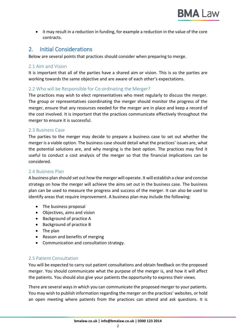it may result in a reduction in funding, for example a reduction in the value of the core contracts.

# <span id="page-3-0"></span>2. Initial Considerations

Below are several points that practices should consider when preparing to merge.

#### 2.1 Aim and Vision

It is important that all of the parties have a shared aim or vision. This is so the parties are working towards the same objective and are aware of each other's expectations.

#### 2.2 Who will be Responsible for Co-ordinating the Merger?

The practices may wish to elect representatives who meet regularly to discuss the merger. The group or representatives coordinating the merger should monitor the progress of the merger, ensure that any resources needed for the merger are in place and keep a record of the cost involved. It is important that the practices communicate effectively throughout the merger to ensure it is successful.

#### 2.3 Business Case

The parties to the merger may decide to prepare a business case to set out whether the merger is a viable option. The business case should detail what the practices' issues are, what the potential solutions are, and why merging is the best option. The practices may find it useful to conduct a cost analysis of the merger so that the financial implications can be considered.

#### 2.4 Business Plan

A business plan should set out how the merger will operate. It will establish a clear and concise strategy on how the merger will achieve the aims set out in the business case. The business plan can be used to measure the progress and success of the merger. It can also be used to identify areas that require improvement. A business plan may include the following:

- The business proposal
- Objectives, aims and vision
- Background of practice A
- Background of practice B
- The plan
- Reason and benefits of merging
- Communication and consultation strategy.

#### 2.5 Patient Consultation

You will be expected to carry out patient consultations and obtain feedback on the proposed merger. You should communicate what the purpose of the merger is, and how it will affect the patients. You should also give your patients the opportunity to express their views.

There are several ways in which you can communicate the proposed merger to your patients. You may wish to publish information regarding the merger on the practices' websites, or hold an open meeting where patients from the practices can attend and ask questions. It is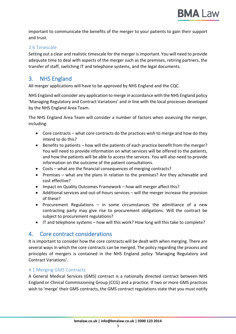

important to communicate the benefits of the merger to your patients to gain their support and trust.

#### 2.6 Timescale

Setting out a clear and realistic timescale for the merger is important. You will need to provide adequate time to deal with aspects of the merger such as the premises, retiring partners, the transfer of staff, switching IT and telephone systems, and the legal documents.

# <span id="page-4-0"></span>3. NHS England

All merger applications will have to be approved by NHS England and the CQC.

NHS England will consider any application to merge in accordance with the NHS England policy ['Managing Regulatory and Contract Variations'](https://www.england.nhs.uk/wp-content/uploads/2013/07/mng-reg-con-vari.pdf) and in line with the local processes developed by the NHS England Area Team.

The NHS England Area Team will consider a number of factors when assessing the merger, including:

- Core contracts what core contracts do the practices wish to merge and how do they intend to do this?
- Benefits to patients how will the patients of each practice benefit from the merger? You will need to provide information on what services will be offered to the patients, and how the patients will be able to access the services. You will also need to provide information on the outcome of the patient consultations.
- Costs what are the financial consequences of merging contracts?
- Premises what are the plans in relation to the premises? Are they achievable and cost effective?
- Impact on Quality Outcomes Framework how will merger affect this?
- Additional services and out-of-hours services will the merger increase the provision of these?
- Procurement Regulations  $-$  in some circumstances the admittance of a new contracting party may give rise to procurement obligations. Will the contract be subject to procurement regulations?
- IT and telephone systems how will this work? How long will this take to complete?

#### <span id="page-4-1"></span>4. Core contract considerations

It is important to consider how the core contracts will be dealt with when merging. There are several ways in which the core contracts can be merged. The policy regarding the process and principles of mergers is contained in the NHS England policy 'Managing Regulatory and Contract Variations'.

#### 4.1 Merging GMS Contracts

A General Medical Services (GMS) contract is a nationally directed contract between NHS England or Clinical Commissioning Group (CCG) and a practice. If two or more GMS practices wish to 'merge' their GMS contracts, the GMS contract regulations state that you must notify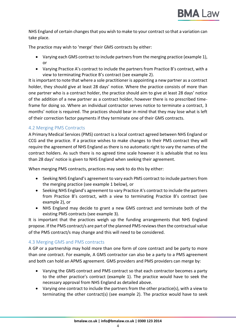NHS England of certain changes that you wish to make to your contract so that a variation can take place.

The practice may wish to 'merge' their GMS contracts by either:

- Varying each GMS contract to include partners from the merging practice (example 1), or
- Varying Practice A's contract to include the partners from Practice B's contract, with a view to terminating Practice B's contract (see example 2).

It is important to note that where a sole practitioner is appointing a new partner as a contract holder, they should give at least 28 days' notice. Where the practice consists of more than one partner who is a contract holder, the practice should aim to give at least 28 days' notice of the addition of a new partner as a contract holder, however there is no prescribed timeframe for doing so. Where an individual contractor serves notice to terminate a contract, 3 months' notice is required. The practices should bear in mind that they may lose what is left of their correction factor payments if they terminate one of their GMS contracts.

#### 4.2 Merging PMS Contracts

A Primary Medical Services (PMS) contract is a local contract agreed between NHS England or CCG and the practice. If a practice wishes to make changes to their PMS contract they will require the agreement of NHS England as there is no automatic right to vary the names of the contract holders. As such there is no agreed time scale however it is advisable that no less than 28 days' notice is given to NHS England when seeking their agreement.

When merging PMS contracts, practices may seek to do this by either:

- Seeking NHS England's agreement to vary each PMS contract to include partners from the merging practice (see example 1 below), or
- Seeking NHS England's agreement to vary Practice A's contract to include the partners from Practice B's contract, with a view to terminating Practice B's contract (see example 2), or
- NHS England may decide to grant a new GMS contract and terminate both of the existing PMS contracts (see example 3).

It is important that the practices weigh up the funding arrangements that NHS England propose. If the PMS contract/s are part of the planned PMS reviews then the contractual value of the PMS contract/s may change and this will need to be considered.

#### 4.3 Merging GMS and PMS contracts

A GP or a partnership may hold more than one form of core contract and be party to more than one contract. For example, A GMS contractor can also be a party to a PMS agreement and both can hold an APMS agreement. GMS providers and PMS providers can merge by:

- Varying the GMS contract and PMS contract so that each contractor becomes a party to the other practice's contract (example 1). The practice would have to seek the necessary approval from NHS England as detailed above.
- Varying one contract to include the partners from the other practice(s), with a view to terminating the other contract(s) (see example 2). The practice would have to seek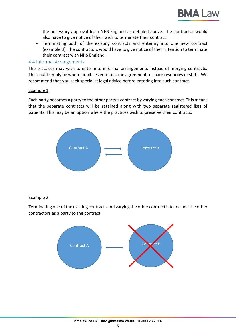

the necessary approval from NHS England as detailed above. The contractor would also have to give notice of their wish to terminate their contract.

 Terminating both of the existing contracts and entering into one new contract (example 3). The contractors would have to give notice of their intention to terminate their contract with NHS England.

#### 4.4 Informal Arrangements

The practices may wish to enter into informal arrangements instead of merging contracts. This could simply be where practices enter into an agreement to share resources or staff. We recommend that you seek specialist legal advice before entering into such contract.

#### Example 1

Each party becomes a party to the other party's contract by varying each contract. This means that the separate contracts will be retained along with two separate registered lists of patients. This may be an option where the practices wish to preserve their contracts.



#### Example 2

Terminating one of the existing contracts and varying the other contract it to include the other contractors as a party to the contract.

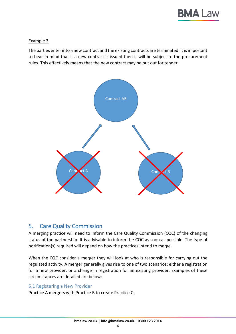

#### Example 3

The parties enter into a new contract and the existing contracts are terminated. It is important to bear in mind that if a new contract is issued then it will be subject to the procurement rules. This effectively means that the new contract may be put out for tender.



# <span id="page-7-0"></span>5. Care Quality Commission

A merging practice will need to inform the Care Quality Commission (CQC) of the changing status of the partnership. It is advisable to inform the CQC as soon as possible. The type of notification(s) required will depend on how the practices intend to merge.

When the CQC consider a merger they will look at who is responsible for carrying out the regulated activity. A merger generally gives rise to one of two scenarios: either a registration for a new provider, or a change in registration for an existing provider. Examples of these circumstances are detailed are below:

#### 5.1 Registering a New Provider

Practice A mergers with Practice B to create Practice C.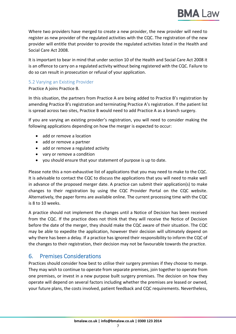

Where two providers have merged to create a new provider, the new provider will need to register as new provider of the regulated activities with the CQC. The registration of the new provider will entitle that provider to provide the regulated activities listed in the Health and Social Care Act 2008.

It is important to bear in mind that under section 10 of the Health and Social Care Act 2008 it is an offence to carry on a regulated activity without being registered with the CQC. Failure to do so can result in prosecution or refusal of your application.

#### 5.2 Varying an Existing Provider

#### Practice A joins Practice B.

In this situation, the partners from Practice A are being added to Practice B's registration by amending Practice B's registration and terminating Practice A's registration. If the patient list is spread across two sites, Practice B would need to add Practice A as a branch surgery.

If you are varying an existing provider's registration, you will need to consider making the following applications depending on how the merger is expected to occur:

- add or remove a location
- add or remove a partner
- add or remove a regulated activity
- vary or remove a condition
- you should ensure that your statement of purpose is up to date.

Please note this a non-exhaustive list of applications that you may need to make to the CQC. It is advisable to contact the CQC to discuss the applications that you will need to make well in advance of the proposed merger date. A practice can submit their application(s) to make changes to their registration by using the CQC Provider Portal on the CQC website. Alternatively, the paper forms are available online. The current processing time with the CQC is 8 to 10 weeks.

A practice should not implement the changes until a Notice of Decision has been received from the CQC. If the practice does not think that they will receive the Notice of Decision before the date of the merger, they should make the CQC aware of their situation. The CQC may be able to expedite the application, however their decision will ultimately depend on why there has been a delay. If a practice has ignored their responsibility to inform the CQC of the changes to their registration, their decision may not be favourable towards the practice.

# <span id="page-8-0"></span>6. Premises Considerations

Practices should consider how best to utilise their surgery premises if they choose to merge. They may wish to continue to operate from separate premises, join together to operate from one premises, or invest in a new purpose built surgery premises. The decision on how they operate will depend on several factors including whether the premises are leased or owned, your future plans, the costs involved, patient feedback and CQC requirements. Nevertheless,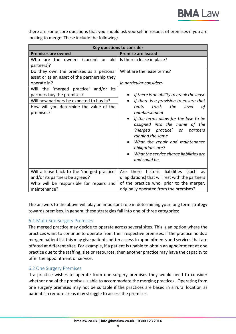there are some core questions that you should ask yourself in respect of premises if you are looking to merge. These include the following:

| Key questions to consider                                                                                                                                                                                                                                                           |                                                                                                                                                                                                                                                                                                                                                                                                                                                                      |  |  |
|-------------------------------------------------------------------------------------------------------------------------------------------------------------------------------------------------------------------------------------------------------------------------------------|----------------------------------------------------------------------------------------------------------------------------------------------------------------------------------------------------------------------------------------------------------------------------------------------------------------------------------------------------------------------------------------------------------------------------------------------------------------------|--|--|
| <b>Premises are owned</b>                                                                                                                                                                                                                                                           | <b>Premise are leased</b>                                                                                                                                                                                                                                                                                                                                                                                                                                            |  |  |
| Who are the owners (current or old<br>partners)?                                                                                                                                                                                                                                    | Is there a lease in place?                                                                                                                                                                                                                                                                                                                                                                                                                                           |  |  |
| Do they own the premises as a personal<br>asset or as an asset of the partnership they<br>operate in?<br>Will the 'merged practice' and/or<br>its<br>partners buy the premises?<br>Will new partners be expected to buy in?<br>How will you determine the value of the<br>premises? | What are the lease terms?<br>In particular consider:-<br>If there is an ability to break the lease<br>If there is a provision to ensure that<br>$\bullet$<br>the<br>track<br>level<br>rents<br>οf<br>reimbursement<br>If the terms allow for the lase to be<br>assigned into the name of the<br>'merged practice' or partners<br>running the same<br>What the repair and maintenance<br>obligations are?<br>What the service charge liabilities are<br>and could be. |  |  |
| Will a lease back to the 'merged practice'<br>and/or its partners be agreed?<br>Who will be responsible for repairs and                                                                                                                                                             | liabilities (such<br>Are there historic<br>as<br>dilapidations) that will rest with the partners<br>of the practice who, prior to the merger,                                                                                                                                                                                                                                                                                                                        |  |  |
| maintenance?                                                                                                                                                                                                                                                                        | originally operated from the premises?                                                                                                                                                                                                                                                                                                                                                                                                                               |  |  |

The answers to the above will play an important role in determining your long term strategy towards premises. In general these strategies fall into one of three categories:

#### 6.1 Multi-Site Surgery Premises

The merged practice may decide to operate across several sites. This is an option where the practices want to continue to operate from their respective premises. If the practice holds a merged patient list this may give patients better access to appointments and services that are offered at different sites. For example, if a patient is unable to obtain an appointment at one practice due to the staffing, size or resources, then another practice may have the capacity to offer the appointment or service.

#### 6.2 One Surgery Premises

If a practice wishes to operate from one surgery premises they would need to consider whether one of the premises is able to accommodate the merging practices. Operating from one surgery premises may not be suitable if the practices are based in a rural location as patients in remote areas may struggle to access the premises.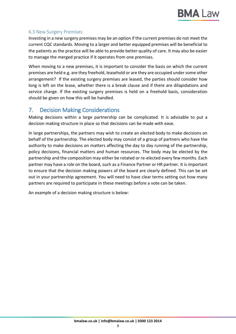

#### 6.3 New Surgery Premises

Investing in a new surgery premises may be an option if the current premises do not meet the current CQC standards. Moving to a larger and better equipped premises will be beneficial to the patients as the practice will be able to provide better quality of care. It may also be easier to manage the merged practice if it operates from one premises.

When moving to a new premises, it is important to consider the basis on which the current premises are held e.g. are they freehold, leasehold or are they are occupied under some other arrangement? If the existing surgery premises are leased, the parties should consider how long is left on the lease, whether there is a break clause and if there are dilapidations and service charge. If the existing surgery premises is held on a freehold basis, consideration should be given on how this will be handled.

### <span id="page-10-0"></span>7. Decision Making Considerations

Making decisions within a large partnership can be complicated. It is advisable to put a decision making structure in place so that decisions can be made with ease.

In large partnerships, the partners may wish to create an elected body to make decisions on behalf of the partnership. The elected body may consist of a group of partners who have the authority to make decisions on matters affecting the day to day running of the partnership, policy decisions, financial matters and human resources. The body may be elected by the partnership and the composition may either be rotated or re-elected every few months. Each partner may have a role on the board, such as a Finance Partner or HR partner. It is important to ensure that the decision making powers of the board are clearly defined. This can be set out in your partnership agreement. You will need to have clear terms setting out how many partners are required to participate in these meetings before a vote can be taken.

An example of a decision making structure is below: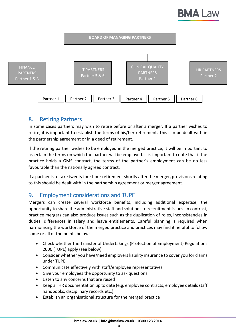

# <span id="page-11-0"></span>8. Retiring Partners

In some cases partners may wish to retire before or after a merger. If a partner wishes to retire, it is important to establish the terms of his/her retirement. This can be dealt with in the partnership agreement or in a deed of retirement.

If the retiring partner wishes to be employed in the merged practice, it will be important to ascertain the terms on which the partner will be employed. It is important to note that if the practice holds a GMS contract, the terms of the partner's employment can be no less favourable than the nationally agreed contract.

If a partner is to take twenty four hour retirement shortly after the merger, provisions relating to this should be dealt with in the partnership agreement or merger agreement.

# <span id="page-11-1"></span>9. Employment considerations and TUPE

Mergers can create several workforce benefits, including additional expertise, the opportunity to share the administrative staff and solutions to recruitment issues. In contrast, practice mergers can also produce issues such as the duplication of roles, inconsistencies in duties, differences in salary and leave entitlements. Careful planning is required when harmonising the workforce of the merged practice and practices may find it helpful to follow some or all of the points below:

- Check whether the Transfer of Undertakings (Protection of Employment) Regulations 2006 (TUPE) apply (see below)
- Consider whether you have/need employers liability insurance to cover you for claims under TUPE
- Communicate effectively with staff/employee representatives
- Give your employees the opportunity to ask questions
- Listen to any concerns that are raised
- Keep all HR documentation up to date (e.g. employee contracts, employee detailsstaff handbooks, disciplinary records etc.)
- Establish an organisational structure for the merged practice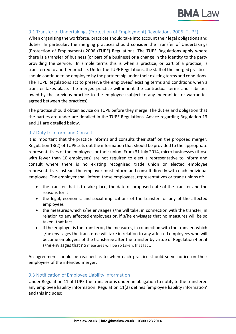

#### 9.1 Transfer of Undertakings (Protection of Employment) Regulations 2006 (TUPE)

When organising the workforce, practices should take into account their legal obligations and duties. In particular, the merging practices should consider the Transfer of Undertakings (Protection of Employment) 2006 (TUPE) Regulations. The TUPE Regulations apply where there is a transfer of business (or part of a business) or a change in the identity to the party providing the service. In simple terms this is when a practice, or part of a practice, is transferred to another practice*.* Under the TUPE Regulations,the staff of the merged practices should continue to be employed by the partnership under their existing terms and conditions. The TUPE Regulations act to preserve the employees' existing terms and conditions when a transfer takes place. The merged practice will inherit the contractual terms and liabilities owed by the previous practice to the employee (subject to any indemnities or warranties agreed between the practices).

The practice should obtain advice on TUPE before they merge. The duties and obligation that the parties are under are detailed in the TUPE Regulations. Advice regarding Regulation 13 and 11 are detailed below.

#### 9.2 Duty to Inform and Consult

It is important that the practice informs and consults their staff on the proposed merger. Regulation 13(2) of TUPE sets out the information that should be provided to the appropriate representatives of the employees or their union. From 31 July 2014, micro businesses (those with fewer than 10 employees) are not required to elect a representative to inform and consult where there is no existing recognised trade union or elected employee representative. Instead, the employer must inform and consult directly with each individual employee. The employer shall inform those employees, representatives or trade unions of:

- the transfer that is to take place, the date or proposed date of the transfer and the reasons for it
- the legal, economic and social implications of the transfer for any of the affected employees
- the measures which s/he envisages s/he will take, in connection with the transfer, in relation to any affected employees or, if s/he envisages that no measures will be so taken, that fact
- if the employer is the transferor, the measures, in connection with the transfer, which s/he envisages the transferee will take in relation to any affected employees who will become employees of the transferee after the transfer by virtue of Regulation 4 or, if s/he envisages that no measures will be so taken, that fact.

An agreement should be reached as to when each practice should serve notice on their employees of the intended merger.

#### 9.3 Notification of Employee Liability Information

Under Regulation 11 of TUPE the transferor is under an obligation to notify to the transferee any employee liability information. Regulation 11(2) defines 'employee liability information' and this includes: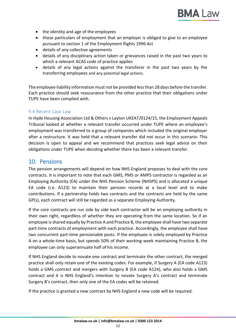

- the identity and age of the employees
- those particulars of employment that an employer is obliged to give to an employee pursuant to section 1 of the Employment Rights 1996 Act
- details of any collective agreements
- details of any disciplinary action taken or grievances raised in the past two years to which a relevant ACAS code of practice applies
- details of any legal actions against the transferor in the past two years by the transferring employees and any potential legal actions.

The employee liability information must not be provided less than 28 days before the transfer. Each practice should seek reassurance from the other practice that their obligations under TUPE have been complied with.

#### 9.4 Recent Case Law

In Hyde Housing Association Ltd & Others v Layton UKEAT/0124/15, the Employment Appeals Tribunal looked at whether a relevant transfer occurred under TUPE where an employee's employment was transferred to a group of companies which included the original employer after a restructure. It was held that a relevant transfer did not occur in this scenario. This decision is open to appeal and we recommend that practices seek legal advice on their obligations under TUPE when deciding whether there has been a relevant transfer.

#### <span id="page-13-0"></span>10. Pensions

The pension arrangements will depend on how NHS England proposes to deal with the core contracts. It is important to note that each GMS, PMS or AMPS contractor is regarded as an Employing Authority (EA) under the NHS Pension Scheme (NHSPS) and is allocated a unique EA code (i.e. A123) to maintain their pension records at a local level and to make contributions. If a partnership holds two contracts and the contracts are held by the same GP(s), each contract will still be regarded as a separate Employing Authority.

If the core contracts are run side by side each contractor will be an employing authority in their own right, regardless of whether they are operating from the same location. So if an employee is shared equally by Practice A and Practice B, the employee shall have two separate part-time contracts of employment with each practice. Accordingly, the employee shall have two concurrent part-time pensionable posts. If the employee is solely employed by Practice A on a whole-time basis, but spends 50% of their working week maintaining Practice B, the employee can only superannuate half of his income.

If NHS England decide to novate one contract and terminate the other contract, the merged practice shall only retain one of the existing codes. For example, if Surgery A (EA code A123) holds a GMS contract and mergers with Surgery B (EA code A124), who also holds a GMS contract and it is NHS England's intention to novate Surgery A's contract and terminate Surgery B's contract, then only one of the EA codes will be retained.

If the practice is granted a new contract by NHS England a new code will be required.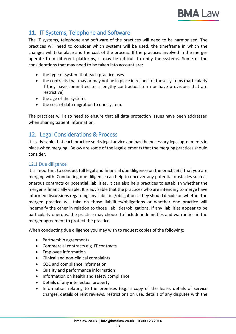

# <span id="page-14-0"></span>11. IT Systems, Telephone and Software

The IT systems, telephone and software of the practices will need to be harmonised. The practices will need to consider which systems will be used, the timeframe in which the changes will take place and the cost of the process. If the practices involved in the merger operate from different platforms, it may be difficult to unify the systems. Some of the considerations that may need to be taken into account are:

- the type of system that each practice uses
- the contracts that may or may not be in place in respect of these systems (particularly if they have committed to a lengthy contractual term or have provisions that are restrictive)
- the age of the systems
- the cost of data migration to one system.

The practices will also need to ensure that all data protection issues have been addressed when sharing patient information.

# <span id="page-14-1"></span>12. Legal Considerations & Process

It is advisable that each practice seeks legal advice and has the necessary legal agreements in place when merging. Below are some of the legal elements that the merging practices should consider.

#### 12.1 Due diligence

It is important to conduct full legal and financial due diligence on the practice(s) that you are merging with. Conducting due diligence can help to uncover any potential obstacles such as onerous contracts or potential liabilities. It can also help practices to establish whether the merger is financially viable. It is advisable that the practices who are intending to merge have informed discussions regarding any liabilities/obligations. They should decide on whether the merged practice will take on those liabilities/obligations or whether one practice will indemnify the other in relation to those liabilities/obligations. If any liabilities appear to be particularly onerous, the practice may choose to include indemnities and warranties in the merger agreement to protect the practice.

When conducting due diligence you may wish to request copies of the following:

- Partnership agreements
- Commercial contracts e.g. IT contracts
- Employee information
- Clinical and non-clinical complaints
- CQC and compliance information
- Quality and performance information
- Information on health and safety compliance
- Details of any intellectual property
- Information relating to the premises (e.g. a copy of the lease, details of service charges, details of rent reviews, restrictions on use, details of any disputes with the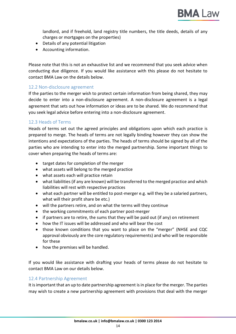

landlord, and if freehold, land registry title numbers, the title deeds, details of any charges or mortgages on the properties)

- Details of any potential litigation
- Accounting information.

Please note that this is not an exhaustive list and we recommend that you seek advice when conducting due diligence. If you would like assistance with this please do not hesitate to contact BMA Law on the details below.

#### 12.2 Non-disclosure agreement

If the parties to the merger wish to protect certain information from being shared, they may decide to enter into a non-disclosure agreement. A non-disclosure agreement is a legal agreement that sets out how information or ideas are to be shared. We do recommend that you seek legal advice before entering into a non-disclosure agreement.

#### 12.3 Heads of Terms

Heads of terms set out the agreed principles and obligations upon which each practice is prepared to merge. The heads of terms are not legally binding however they can show the intentions and expectations of the parties. The heads of terms should be signed by all of the parties who are intending to enter into the merged partnership. Some important things to cover when preparing the heads of terms are:

- target dates for completion of the merger
- what assets will belong to the merged practice
- what assets each will practice retain
- what liabilities (if any are known) will be transferred to the merged practice and which liabilities will rest with respective practices
- what each partner will be entitled to post-merger e.g. will they be a salaried partners, what will their profit share be etc.)
- will the partners retire, and on what the terms will they continue
- the working commitments of each partner post-merger
- if partners are to retire, the sums that they will be paid out (if any) on retirement
- how the IT issues will be addressed and who will bear the cost
- those known conditions that you want to place on the "merger" (NHSE and CQC approval obviously are the core regulatory requirements) and who will be responsible for these
- how the premises will be handled.

If you would like assistance with drafting your heads of terms please do not hesitate to contact BMA Law on our details below.

#### 12.4 Partnership Agreement

It is important that an up to date partnership agreement is in place for the merger. The parties may wish to create a new partnership agreement with provisions that deal with the merger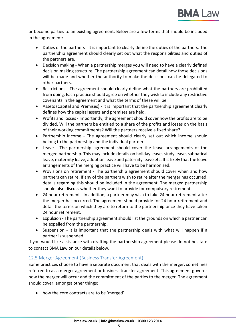or become parties to an existing agreement. Below are a few terms that should be included in the agreement:

- Duties of the partners It is important to clearly define the duties of the partners. The partnership agreement should clearly set out what the responsibilities and duties of the partners are.
- Decision making When a partnership merges you will need to have a clearly defined decision making structure. The partnership agreement can detail how those decisions will be made and whether the authority to make the decisions can be delegated to other partners.
- Restrictions The agreement should clearly define what the partners are prohibited from doing. Each practice should agree on whether they wish to include any restrictive covenants in the agreement and what the terms of these will be.
- Assets (Capital and Premises) It is important that the partnership agreement clearly defines how the capital assets and premises are held.
- Profits and losses Importantly, the agreement should cover how the profits are to be divided. Will the partners be entitled to a share of the profits and losses on the basis of their working commitments? Will the partners receive a fixed share?
- Partnership income The agreement should clearly set out which income should belong to the partnership and the individual partner.
- Leave The partnership agreement should cover the leave arrangements of the merged partnership. This may include details on holiday leave, study leave, sabbatical leave, maternity leave, adoption leave and paternity leave etc. It is likely that the leave arrangements of the merging practice will have to be harmonised.
- Provisions on retirement The partnership agreement should cover when and how partners can retire. If any of the partners wish to retire after the merger has occurred, details regarding this should be included in the agreement. The merged partnership should also discuss whether they want to provide for compulsory retirement.
- 24 hour retirement In addition, a partner may wish to take 24 hour retirement after the merger has occurred. The agreement should provide for 24 hour retirement and detail the terms on which they are to return to the partnership once they have taken 24 hour retirement.
- Expulsion The partnership agreement should list the grounds on which a partner can be expelled from the partnership.
- Suspension It is important that the partnership deals with what will happen if a partner is suspended.

If you would like assistance with drafting the partnership agreement please do not hesitate to contact BMA Law on our details below.

#### 12.5 Merger Agreement (Business Transfer Agreement)

Some practices choose to have a separate document that deals with the merger, sometimes referred to as a merger agreement or business transfer agreement. This agreement governs how the merger will occur and the commitment of the parties to the merger. The agreement should cover, amongst other things:

• how the core contracts are to be 'merged'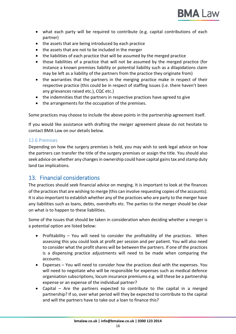

- what each party will be required to contribute (e.g. capital contributions of each partner)
- the assets that are being introduced by each practice
- the assets that are not to be included in the merger
- the liabilities of each practice that will be assumed by the merged practice
- those liabilities of a practice that will not be assumed by the merged practice (for instance a known premises liability or potential liability such as a dilapidations claim may be left as a liability of the partners from the practice they originate from)
- the warranties that the partners in the merging practice make in respect of their respective practice (this could be in respect of staffing issues (i.e. there haven't been any grievances raised etc.), CQC etc.)
- the indemnities that the partners in respective practices have agreed to give
- the arrangements for the occupation of the premises.

Some practices may choose to include the above points in the partnership agreement itself.

If you would like assistance with drafting the merger agreement please do not hesitate to contact BMA Law on our details below.

#### 12.6 Premises

Depending on how the surgery premises is held, you may wish to seek legal advice on how the partners can transfer the title of the surgery premises or assign the title. You should also seek advice on whether any changes in ownership could have capital gains tax and stamp duty land tax implications.

# <span id="page-17-0"></span>13. Financial considerations

The practices should seek financial advice on merging. It is important to look at the finances of the practices that are wishing to merge (this can involve requesting copies of the accounts). It is also important to establish whether any of the practices who are party to the merger have any liabilities such as loans, debts, overdrafts etc. The parties to the merger should be clear on what is to happen to these liabilities.

Some of the issues that should be taken in consideration when deciding whether a merger is a potential option are listed below:

- Profitability You will need to consider the profitability of the practices. When assessing this you could look at profit per session and per patient. You will also need to consider what the profit shares will be between the partners. If one of the practices is a dispensing practice adjustments will need to be made when comparing the accounts.
- Expenses You will need to consider how the practices deal with the expenses. You will need to negotiate who will be responsible for expenses such as medical defence organisation subscriptions, locum insurance premiums e.g. will these be a partnership expense or an expense of the individual partner?
- Capital Are the partners expected to contribute to the capital in a merged partnership? If so, over what period will they be expected to contribute to the capital and will the partners have to take out a loan to finance this?